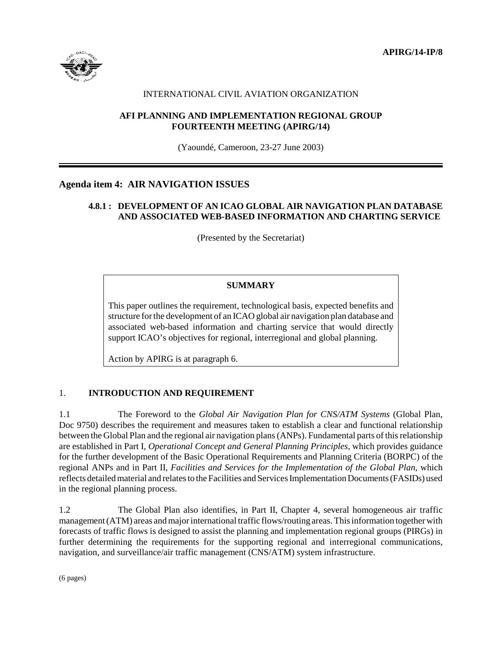**APIRG/14-IP/8**



# INTERNATIONAL CIVIL AVIATION ORGANIZATION

# **AFI PLANNING AND IMPLEMENTATION REGIONAL GROUP FOURTEENTH MEETING (APIRG/14)**

(Yaoundé, Cameroon, 23-27 June 2003)

# **Agenda item 4: AIR NAVIGATION ISSUES**

# **4.8.1 : DEVELOPMENT OF AN ICAO GLOBAL AIR NAVIGATION PLAN DATABASE AND ASSOCIATED WEB-BASED INFORMATION AND CHARTING SERVICE**

(Presented by the Secretariat)

# **SUMMARY**

This paper outlines the requirement, technological basis, expected benefits and structure for the development of an ICAO global air navigation plan database and associated web-based information and charting service that would directly support ICAO's objectives for regional, interregional and global planning.

Action by APIRG is at paragraph 6.

### 1. **INTRODUCTION AND REQUIREMENT**

1.1 The Foreword to the *Global Air Navigation Plan for CNS/ATM Systems* (Global Plan, Doc 9750) describes the requirement and measures taken to establish a clear and functional relationship between the Global Plan and the regional air navigation plans (ANPs). Fundamental parts of this relationship are established in Part I, *Operational Concept and General Planning Principles,* which provides guidance for the further development of the Basic Operational Requirements and Planning Criteria (BORPC) of the regional ANPs and in Part II, *Facilities and Services for the Implementation of the Global Plan*, which reflects detailed material and relates to the Facilities and Services Implementation Documents (FASIDs) used in the regional planning process.

1.2 The Global Plan also identifies, in Part II, Chapter 4, several homogeneous air traffic management (ATM) areas and major international traffic flows/routing areas. This information together with forecasts of traffic flows is designed to assist the planning and implementation regional groups (PIRGs) in further determining the requirements for the supporting regional and interregional communications, navigation, and surveillance/air traffic management (CNS/ATM) system infrastructure.

(6 pages)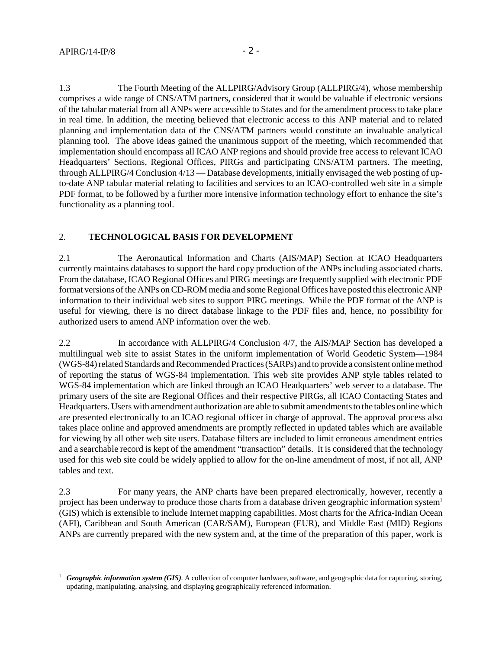1.3 The Fourth Meeting of the ALLPIRG/Advisory Group (ALLPIRG/4), whose membership comprises a wide range of CNS/ATM partners, considered that it would be valuable if electronic versions of the tabular material from all ANPs were accessible to States and for the amendment process to take place in real time. In addition, the meeting believed that electronic access to this ANP material and to related planning and implementation data of the CNS/ATM partners would constitute an invaluable analytical planning tool. The above ideas gained the unanimous support of the meeting, which recommended that implementation should encompass all ICAO ANP regions and should provide free access to relevant ICAO Headquarters' Sections, Regional Offices, PIRGs and participating CNS/ATM partners. The meeting, through ALLPIRG/4 Conclusion 4/13 — Database developments, initially envisaged the web posting of upto-date ANP tabular material relating to facilities and services to an ICAO-controlled web site in a simple PDF format, to be followed by a further more intensive information technology effort to enhance the site's functionality as a planning tool.

# 2. **TECHNOLOGICAL BASIS FOR DEVELOPMENT**

2.1 The Aeronautical Information and Charts (AIS/MAP) Section at ICAO Headquarters currently maintains databases to support the hard copy production of the ANPs including associated charts. From the database, ICAO Regional Offices and PIRG meetings are frequently supplied with electronic PDF format versions of the ANPs on CD-ROM media and some Regional Offices have posted this electronic ANP information to their individual web sites to support PIRG meetings. While the PDF format of the ANP is useful for viewing, there is no direct database linkage to the PDF files and, hence, no possibility for authorized users to amend ANP information over the web.

2.2 In accordance with ALLPIRG/4 Conclusion 4/7, the AIS/MAP Section has developed a multilingual web site to assist States in the uniform implementation of World Geodetic System—1984 (WGS-84) related Standards and Recommended Practices (SARPs) and to provide a consistent online method of reporting the status of WGS-84 implementation. This web site provides ANP style tables related to WGS-84 implementation which are linked through an ICAO Headquarters' web server to a database. The primary users of the site are Regional Offices and their respective PIRGs, all ICAO Contacting States and Headquarters. Users with amendment authorization are able to submit amendments to the tables online which are presented electronically to an ICAO regional officer in charge of approval. The approval process also takes place online and approved amendments are promptly reflected in updated tables which are available for viewing by all other web site users. Database filters are included to limit erroneous amendment entries and a searchable record is kept of the amendment "transaction" details. It is considered that the technology used for this web site could be widely applied to allow for the on-line amendment of most, if not all, ANP tables and text.

2.3 For many years, the ANP charts have been prepared electronically, however, recently a project has been underway to produce those charts from a database driven geographic information system<sup>1</sup> (GIS) which is extensible to include Internet mapping capabilities. Most charts for the Africa-Indian Ocean (AFI), Caribbean and South American (CAR/SAM), European (EUR), and Middle East (MID) Regions ANPs are currently prepared with the new system and, at the time of the preparation of this paper, work is

<sup>&</sup>lt;sup>1</sup> *Geographic information system (GIS)*. A collection of computer hardware, software, and geographic data for capturing, storing, updating, manipulating, analysing, and displaying geographically referenced information.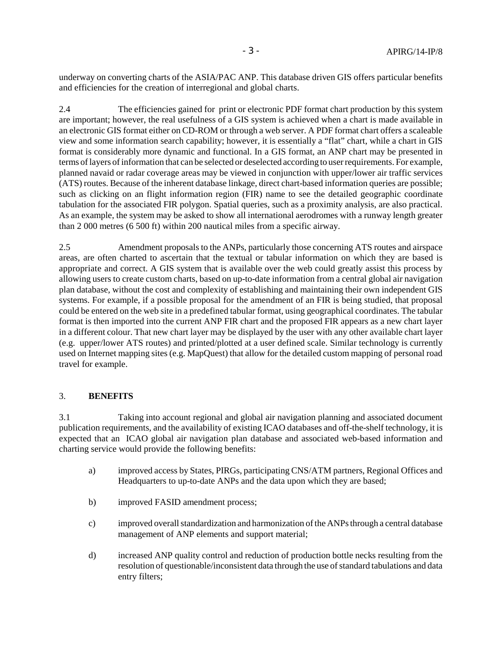underway on converting charts of the ASIA/PAC ANP. This database driven GIS offers particular benefits and efficiencies for the creation of interregional and global charts.

2.4 The efficiencies gained for print or electronic PDF format chart production by this system are important; however, the real usefulness of a GIS system is achieved when a chart is made available in an electronic GIS format either on CD-ROM or through a web server. A PDF format chart offers a scaleable view and some information search capability; however, it is essentially a "flat" chart, while a chart in GIS format is considerably more dynamic and functional. In a GIS format, an ANP chart may be presented in terms of layers of information that can be selected or deselected according to user requirements. For example, planned navaid or radar coverage areas may be viewed in conjunction with upper/lower air traffic services (ATS) routes. Because of the inherent database linkage, direct chart-based information queries are possible; such as clicking on an flight information region (FIR) name to see the detailed geographic coordinate tabulation for the associated FIR polygon. Spatial queries, such as a proximity analysis, are also practical. As an example, the system may be asked to show all international aerodromes with a runway length greater than 2 000 metres (6 500 ft) within 200 nautical miles from a specific airway.

2.5 Amendment proposals to the ANPs, particularly those concerning ATS routes and airspace areas, are often charted to ascertain that the textual or tabular information on which they are based is appropriate and correct. A GIS system that is available over the web could greatly assist this process by allowing users to create custom charts, based on up-to-date information from a central global air navigation plan database, without the cost and complexity of establishing and maintaining their own independent GIS systems. For example, if a possible proposal for the amendment of an FIR is being studied, that proposal could be entered on the web site in a predefined tabular format, using geographical coordinates. The tabular format is then imported into the current ANP FIR chart and the proposed FIR appears as a new chart layer in a different colour. That new chart layer may be displayed by the user with any other available chart layer (e.g. upper/lower ATS routes) and printed/plotted at a user defined scale. Similar technology is currently used on Internet mapping sites (e.g. MapQuest) that allow for the detailed custom mapping of personal road travel for example.

### 3. **BENEFITS**

3.1 Taking into account regional and global air navigation planning and associated document publication requirements, and the availability of existing ICAO databases and off-the-shelf technology, it is expected that an ICAO global air navigation plan database and associated web-based information and charting service would provide the following benefits:

- a) improved access by States, PIRGs, participating CNS/ATM partners, Regional Offices and Headquarters to up-to-date ANPs and the data upon which they are based;
- b) improved FASID amendment process;
- c) improved overall standardization and harmonization of the ANPs through a central database management of ANP elements and support material;
- d) increased ANP quality control and reduction of production bottle necks resulting from the resolution of questionable/inconsistent data through the use of standard tabulations and data entry filters;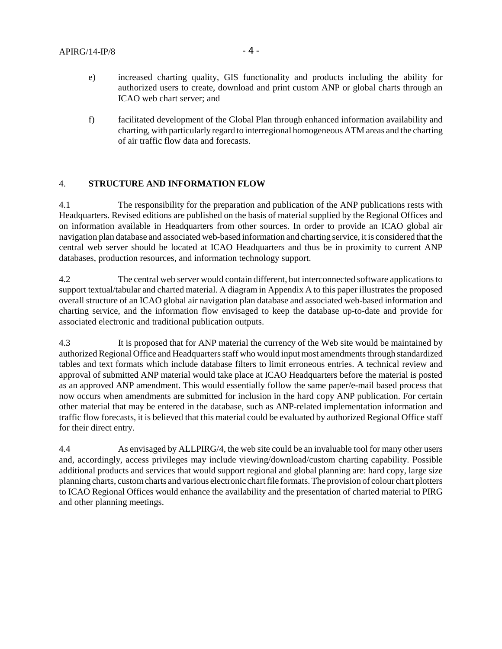- e) increased charting quality, GIS functionality and products including the ability for authorized users to create, download and print custom ANP or global charts through an ICAO web chart server; and
- f) facilitated development of the Global Plan through enhanced information availability and charting, with particularly regard to interregional homogeneous ATM areas and the charting of air traffic flow data and forecasts.

#### 4. **STRUCTURE AND INFORMATION FLOW**

4.1 The responsibility for the preparation and publication of the ANP publications rests with Headquarters. Revised editions are published on the basis of material supplied by the Regional Offices and on information available in Headquarters from other sources. In order to provide an ICAO global air navigation plan database and associated web-based information and charting service, it is considered that the central web server should be located at ICAO Headquarters and thus be in proximity to current ANP databases, production resources, and information technology support.

4.2 The central web server would contain different, but interconnected software applications to support textual/tabular and charted material. A diagram in Appendix A to this paper illustrates the proposed overall structure of an ICAO global air navigation plan database and associated web-based information and charting service, and the information flow envisaged to keep the database up-to-date and provide for associated electronic and traditional publication outputs.

4.3 It is proposed that for ANP material the currency of the Web site would be maintained by authorized Regional Office and Headquarters staff who would input most amendments through standardized tables and text formats which include database filters to limit erroneous entries. A technical review and approval of submitted ANP material would take place at ICAO Headquarters before the material is posted as an approved ANP amendment. This would essentially follow the same paper/e-mail based process that now occurs when amendments are submitted for inclusion in the hard copy ANP publication. For certain other material that may be entered in the database, such as ANP-related implementation information and traffic flow forecasts, it is believed that this material could be evaluated by authorized Regional Office staff for their direct entry.

4.4 As envisaged by ALLPIRG/4, the web site could be an invaluable tool for many other users and, accordingly, access privileges may include viewing/download/custom charting capability. Possible additional products and services that would support regional and global planning are: hard copy, large size planning charts, custom charts and various electronic chart file formats. The provision of colour chart plotters to ICAO Regional Offices would enhance the availability and the presentation of charted material to PIRG and other planning meetings.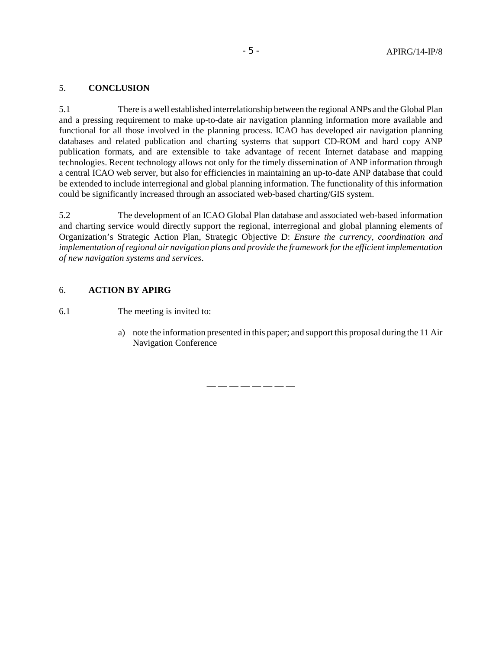### 5. **CONCLUSION**

5.1 There is a well established interrelationship between the regional ANPs and the Global Plan and a pressing requirement to make up-to-date air navigation planning information more available and functional for all those involved in the planning process. ICAO has developed air navigation planning databases and related publication and charting systems that support CD-ROM and hard copy ANP publication formats, and are extensible to take advantage of recent Internet database and mapping technologies. Recent technology allows not only for the timely dissemination of ANP information through a central ICAO web server, but also for efficiencies in maintaining an up-to-date ANP database that could be extended to include interregional and global planning information. The functionality of this information could be significantly increased through an associated web-based charting/GIS system.

5.2 The development of an ICAO Global Plan database and associated web-based information and charting service would directly support the regional, interregional and global planning elements of Organization's Strategic Action Plan, Strategic Objective D: *Ensure the currency, coordination and implementation of regional air navigation plans and provide the framework for the efficient implementation of new navigation systems and services*.

### 6. **ACTION BY APIRG**

6.1 The meeting is invited to:

a) note the information presented in this paper; and support this proposal during the 11 Air Navigation Conference

— — — — — — — —